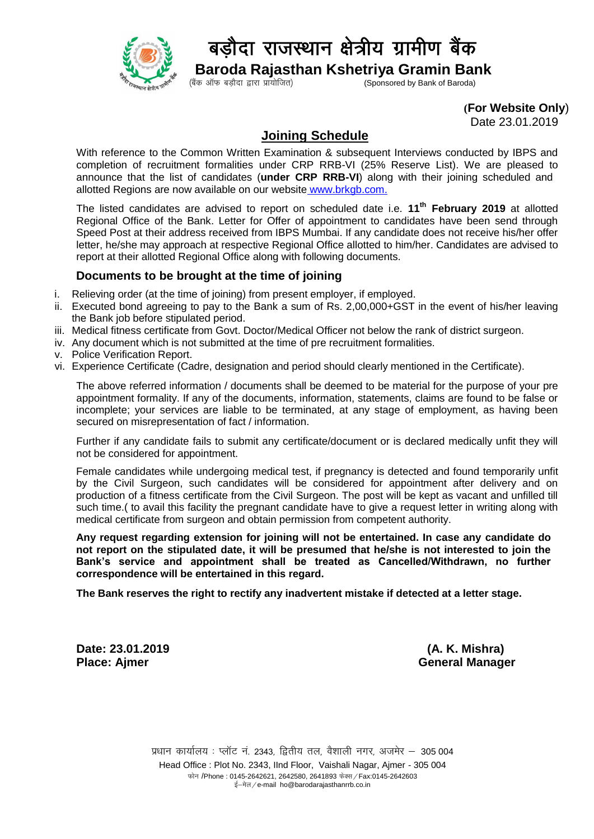

## बडौदा राजस्थान क्षेत्रीय ग्रामीण बैंक

**Baroda Rajasthan Kshetriya Gramin Bank**<br>(Sponsored by Bank of Baroda) (Sponsored by Bank of Baroda)

 **(For Website Only**)

Date 23.01.2019

## **Joining Schedule**

With reference to the Common Written Examination & subsequent Interviews conducted by IBPS and completion of recruitment formalities under CRP RRB-VI (25% Reserve List). We are pleased to announce that the list of candidates (**under CRP RRB-VI**) along with their joining scheduled and allotted Regions are now available on our website [www.brkgb.com.](http://www.brkgb.com/)

The listed candidates are advised to report on scheduled date i.e. **11th February 2019** at allotted Regional Office of the Bank. Letter for Offer of appointment to candidates have been send through Speed Post at their address received from IBPS Mumbai. If any candidate does not receive his/her offer letter, he/she may approach at respective Regional Office allotted to him/her. Candidates are advised to report at their allotted Regional Office along with following documents.

## **Documents to be brought at the time of joining**

- i. Relieving order (at the time of joining) from present employer, if employed.
- ii. Executed bond agreeing to pay to the Bank a sum of Rs. 2,00,000+GST in the event of his/her leaving the Bank job before stipulated period.
- iii. Medical fitness certificate from Govt. Doctor/Medical Officer not below the rank of district surgeon.
- iv. Any document which is not submitted at the time of pre recruitment formalities.
- v. Police Verification Report.
- vi. Experience Certificate (Cadre, designation and period should clearly mentioned in the Certificate).

The above referred information / documents shall be deemed to be material for the purpose of your pre appointment formality. If any of the documents, information, statements, claims are found to be false or incomplete; your services are liable to be terminated, at any stage of employment, as having been secured on misrepresentation of fact / information.

Further if any candidate fails to submit any certificate/document or is declared medically unfit they will not be considered for appointment.

Female candidates while undergoing medical test, if pregnancy is detected and found temporarily unfit by the Civil Surgeon, such candidates will be considered for appointment after delivery and on production of a fitness certificate from the Civil Surgeon. The post will be kept as vacant and unfilled till such time.( to avail this facility the pregnant candidate have to give a request letter in writing along with medical certificate from surgeon and obtain permission from competent authority.

**Any request regarding extension for joining will not be entertained. In case any candidate do not report on the stipulated date, it will be presumed that he/she is not interested to join the Bank's service and appointment shall be treated as Cancelled/Withdrawn, no further correspondence will be entertained in this regard.**

**The Bank reserves the right to rectify any inadvertent mistake if detected at a letter stage.**

**Date: 23.01.2019 (A. K. Mishra)**

**Place: Aimer General Manager** General Manager

प्रधान कार्यालय : प्लॉट नं. 2343, द्वितीय तल, वैशाली नगर, अजमेर – 305 004 Head Office : Plot No. 2343, IInd Floor, Vaishali Nagar, Ajmer - 305 004 फोन /Phone : 0145-2642621, 2642580, 2641893 फेक्स / Fax:0145-2642603 ई-मेल/e-mail ho@barodarajasthanrrb.co.in